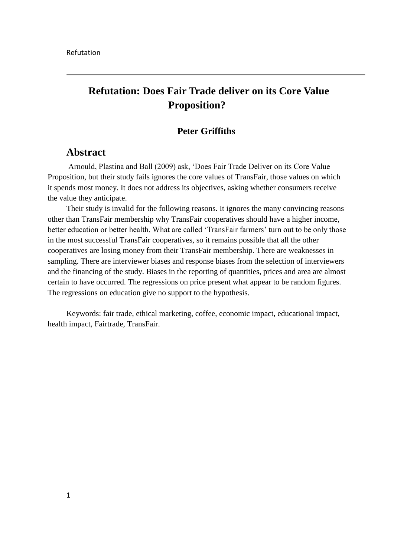# **Refutation: Does Fair Trade deliver on its Core Value Proposition?**

### **Peter Griffiths**

## **Abstract**

Arnould, Plastina and Ball (2009) ask, "Does Fair Trade Deliver on its Core Value Proposition, but their study fails ignores the core values of TransFair, those values on which it spends most money. It does not address its objectives, asking whether consumers receive the value they anticipate.

Their study is invalid for the following reasons. It ignores the many convincing reasons other than TransFair membership why TransFair cooperatives should have a higher income, better education or better health. What are called 'TransFair farmers' turn out to be only those in the most successful TransFair cooperatives, so it remains possible that all the other cooperatives are losing money from their TransFair membership. There are weaknesses in sampling. There are interviewer biases and response biases from the selection of interviewers and the financing of the study. Biases in the reporting of quantities, prices and area are almost certain to have occurred. The regressions on price present what appear to be random figures. The regressions on education give no support to the hypothesis.

Keywords: fair trade, ethical marketing, coffee, economic impact, educational impact, health impact, Fairtrade, TransFair.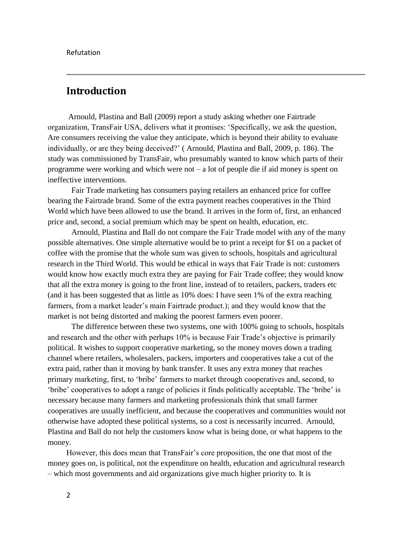## **Introduction**

Arnould, Plastina and Ball (2009) report a study asking whether one Fairtrade organization, TransFair USA, delivers what it promises: "Specifically, we ask the question, Are consumers receiving the value they anticipate, which is beyond their ability to evaluate individually, or are they being deceived?" ( Arnould, Plastina and Ball, 2009, p. 186). The study was commissioned by TransFair, who presumably wanted to know which parts of their programme were working and which were not – a lot of people die if aid money is spent on ineffective interventions.

Fair Trade marketing has consumers paying retailers an enhanced price for coffee bearing the Fairtrade brand. Some of the extra payment reaches cooperatives in the Third World which have been allowed to use the brand. It arrives in the form of, first, an enhanced price and, second, a social premium which may be spent on health, education, etc.

Arnould, Plastina and Ball do not compare the Fair Trade model with any of the many possible alternatives. One simple alternative would be to print a receipt for \$1 on a packet of coffee with the promise that the whole sum was given to schools, hospitals and agricultural research in the Third World. This would be ethical in ways that Fair Trade is not: customers would know how exactly much extra they are paying for Fair Trade coffee; they would know that all the extra money is going to the front line, instead of to retailers, packers, traders etc (and it has been suggested that as little as 10% does: I have seen 1% of the extra reaching farmers, from a market leader"s main Fairtrade product.); and they would know that the market is not being distorted and making the poorest farmers even poorer.

The difference between these two systems, one with 100% going to schools, hospitals and research and the other with perhaps 10% is because Fair Trade"s objective is primarily political. It wishes to support cooperative marketing, so the money moves down a trading channel where retailers, wholesalers, packers, importers and cooperatives take a cut of the extra paid, rather than it moving by bank transfer. It uses any extra money that reaches primary marketing, first, to "bribe" farmers to market through cooperatives and, second, to "bribe" cooperatives to adopt a range of policies it finds politically acceptable. The "bribe" is necessary because many farmers and marketing professionals think that small farmer cooperatives are usually inefficient, and because the cooperatives and communities would not otherwise have adopted these political systems, so a cost is necessarily incurred. Arnould, Plastina and Ball do not help the customers know what is being done, or what happens to the money.

However, this does mean that TransFair"s core proposition, the one that most of the money goes on, is political, not the expenditure on health, education and agricultural research – which most governments and aid organizations give much higher priority to. It is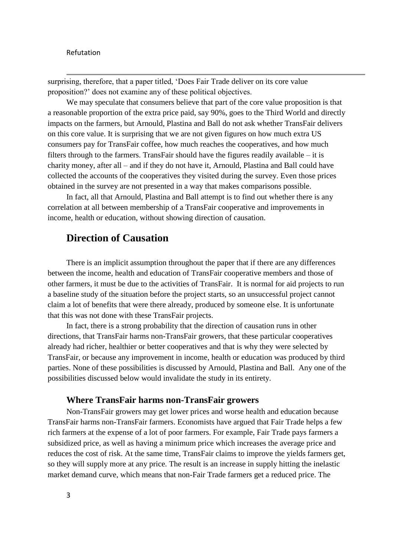surprising, therefore, that a paper titled, "Does Fair Trade deliver on its core value proposition?" does not examine any of these political objectives.

We may speculate that consumers believe that part of the core value proposition is that a reasonable proportion of the extra price paid, say 90%, goes to the Third World and directly impacts on the farmers, but Arnould, Plastina and Ball do not ask whether TransFair delivers on this core value. It is surprising that we are not given figures on how much extra US consumers pay for TransFair coffee, how much reaches the cooperatives, and how much filters through to the farmers. TransFair should have the figures readily available – it is charity money, after all – and if they do not have it, Arnould, Plastina and Ball could have collected the accounts of the cooperatives they visited during the survey. Even those prices obtained in the survey are not presented in a way that makes comparisons possible.

In fact, all that Arnould, Plastina and Ball attempt is to find out whether there is any correlation at all between membership of a TransFair cooperative and improvements in income, health or education, without showing direction of causation.

## **Direction of Causation**

There is an implicit assumption throughout the paper that if there are any differences between the income, health and education of TransFair cooperative members and those of other farmers, it must be due to the activities of TransFair. It is normal for aid projects to run a baseline study of the situation before the project starts, so an unsuccessful project cannot claim a lot of benefits that were there already, produced by someone else. It is unfortunate that this was not done with these TransFair projects.

In fact, there is a strong probability that the direction of causation runs in other directions, that TransFair harms non-TransFair growers, that these particular cooperatives already had richer, healthier or better cooperatives and that is why they were selected by TransFair, or because any improvement in income, health or education was produced by third parties. None of these possibilities is discussed by Arnould, Plastina and Ball. Any one of the possibilities discussed below would invalidate the study in its entirety.

#### **Where TransFair harms non-TransFair growers**

Non-TransFair growers may get lower prices and worse health and education because TransFair harms non-TransFair farmers. Economists have argued that Fair Trade helps a few rich farmers at the expense of a lot of poor farmers. For example, Fair Trade pays farmers a subsidized price, as well as having a minimum price which increases the average price and reduces the cost of risk. At the same time, TransFair claims to improve the yields farmers get, so they will supply more at any price. The result is an increase in supply hitting the inelastic market demand curve, which means that non-Fair Trade farmers get a reduced price. The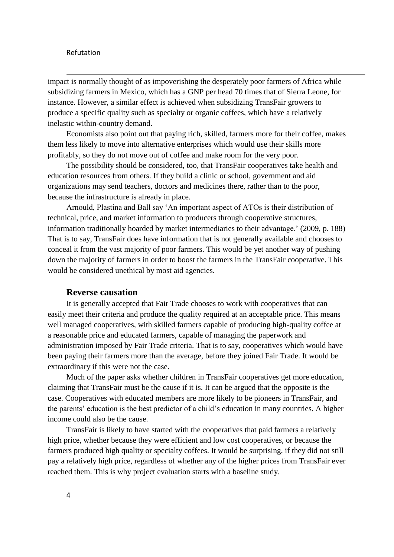impact is normally thought of as impoverishing the desperately poor farmers of Africa while subsidizing farmers in Mexico, which has a GNP per head 70 times that of Sierra Leone, for instance. However, a similar effect is achieved when subsidizing TransFair growers to produce a specific quality such as specialty or organic coffees, which have a relatively inelastic within-country demand.

Economists also point out that paying rich, skilled, farmers more for their coffee, makes them less likely to move into alternative enterprises which would use their skills more profitably, so they do not move out of coffee and make room for the very poor.

The possibility should be considered, too, that TransFair cooperatives take health and education resources from others. If they build a clinic or school, government and aid organizations may send teachers, doctors and medicines there, rather than to the poor, because the infrastructure is already in place.

Arnould, Plastina and Ball say "An important aspect of ATOs is their distribution of technical, price, and market information to producers through cooperative structures, information traditionally hoarded by market intermediaries to their advantage." (2009, p. 188) That is to say, TransFair does have information that is not generally available and chooses to conceal it from the vast majority of poor farmers. This would be yet another way of pushing down the majority of farmers in order to boost the farmers in the TransFair cooperative. This would be considered unethical by most aid agencies.

#### **Reverse causation**

It is generally accepted that Fair Trade chooses to work with cooperatives that can easily meet their criteria and produce the quality required at an acceptable price. This means well managed cooperatives, with skilled farmers capable of producing high-quality coffee at a reasonable price and educated farmers, capable of managing the paperwork and administration imposed by Fair Trade criteria. That is to say, cooperatives which would have been paying their farmers more than the average, before they joined Fair Trade. It would be extraordinary if this were not the case.

Much of the paper asks whether children in TransFair cooperatives get more education, claiming that TransFair must be the cause if it is. It can be argued that the opposite is the case. Cooperatives with educated members are more likely to be pioneers in TransFair, and the parents' education is the best predictor of a child's education in many countries. A higher income could also be the cause.

TransFair is likely to have started with the cooperatives that paid farmers a relatively high price, whether because they were efficient and low cost cooperatives, or because the farmers produced high quality or specialty coffees. It would be surprising, if they did not still pay a relatively high price, regardless of whether any of the higher prices from TransFair ever reached them. This is why project evaluation starts with a baseline study.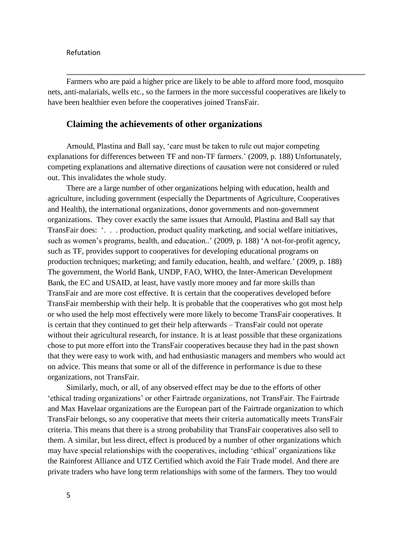Farmers who are paid a higher price are likely to be able to afford more food, mosquito nets, anti-malarials, wells etc., so the farmers in the more successful cooperatives are likely to have been healthier even before the cooperatives joined TransFair.

#### **Claiming the achievements of other organizations**

Arnould, Plastina and Ball say, "care must be taken to rule out major competing explanations for differences between TF and non-TF farmers.' (2009, p. 188) Unfortunately, competing explanations and alternative directions of causation were not considered or ruled out. This invalidates the whole study.

There are a large number of other organizations helping with education, health and agriculture, including government (especially the Departments of Agriculture, Cooperatives and Health), the international organizations, donor governments and non-government organizations. They cover exactly the same issues that Arnould, Plastina and Ball say that TransFair does: ". . . production, product quality marketing, and social welfare initiatives, such as women's programs, health, and education..' (2009, p. 188) 'A not-for-profit agency, such as TF, provides support to cooperatives for developing educational programs on production techniques; marketing; and family education, health, and welfare." (2009, p. 188) The government, the World Bank, UNDP, FAO, WHO, the Inter-American Development Bank, the EC and USAID, at least, have vastly more money and far more skills than TransFair and are more cost effective. It is certain that the cooperatives developed before TransFair membership with their help. It is probable that the cooperatives who got most help or who used the help most effectively were more likely to become TransFair cooperatives. It is certain that they continued to get their help afterwards – TransFair could not operate without their agricultural research, for instance. It is at least possible that these organizations chose to put more effort into the TransFair cooperatives because they had in the past shown that they were easy to work with, and had enthusiastic managers and members who would act on advice. This means that some or all of the difference in performance is due to these organizations, not TransFair.

Similarly, much, or all, of any observed effect may be due to the efforts of other "ethical trading organizations" or other Fairtrade organizations, not TransFair. The Fairtrade and Max Havelaar organizations are the European part of the Fairtrade organization to which TransFair belongs, so any cooperative that meets their criteria automatically meets TransFair criteria. This means that there is a strong probability that TransFair cooperatives also sell to them. A similar, but less direct, effect is produced by a number of other organizations which may have special relationships with the cooperatives, including "ethical" organizations like the Rainforest Alliance and UTZ Certified which avoid the Fair Trade model. And there are private traders who have long term relationships with some of the farmers. They too would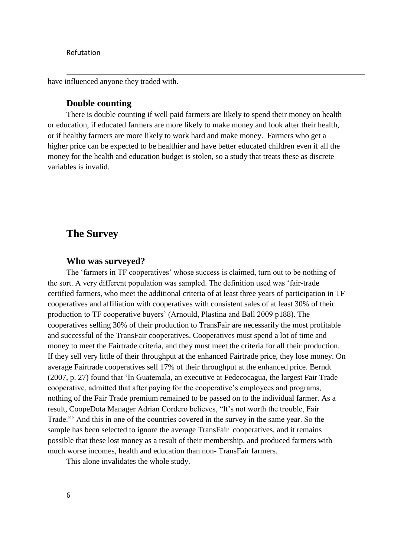have influenced anyone they traded with.

#### **Double counting**

There is double counting if well paid farmers are likely to spend their money on health or education, if educated farmers are more likely to make money and look after their health, or if healthy farmers are more likely to work hard and make money. Farmers who get a higher price can be expected to be healthier and have better educated children even if all the money for the health and education budget is stolen, so a study that treats these as discrete variables is invalid.

## **The Survey**

#### **Who was surveyed?**

The 'farmers in TF cooperatives' whose success is claimed, turn out to be nothing of the sort. A very different population was sampled. The definition used was "fair-trade certified farmers, who meet the additional criteria of at least three years of participation in TF cooperatives and affiliation with cooperatives with consistent sales of at least 30% of their production to TF cooperative buyers" (Arnould, Plastina and Ball 2009 p188). The cooperatives selling 30% of their production to TransFair are necessarily the most profitable and successful of the TransFair cooperatives. Cooperatives must spend a lot of time and money to meet the Fairtrade criteria, and they must meet the criteria for all their production. If they sell very little of their throughput at the enhanced Fairtrade price, they lose money. On average Fairtrade cooperatives sell 17% of their throughput at the enhanced price. Berndt (2007, p. 27) found that "In Guatemala, an executive at Fedecocagua, the largest Fair Trade cooperative, admitted that after paying for the cooperative"s employees and programs, nothing of the Fair Trade premium remained to be passed on to the individual farmer. As a result, CoopeDota Manager Adrian Cordero believes, "It"s not worth the trouble, Fair Trade."" And this in one of the countries covered in the survey in the same year. So the sample has been selected to ignore the average TransFair cooperatives, and it remains possible that these lost money as a result of their membership, and produced farmers with much worse incomes, health and education than non- TransFair farmers.

This alone invalidates the whole study.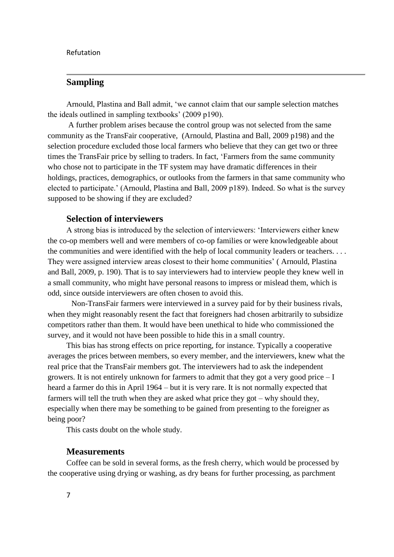### **Sampling**

Arnould, Plastina and Ball admit, "we cannot claim that our sample selection matches the ideals outlined in sampling textbooks" (2009 p190).

A further problem arises because the control group was not selected from the same community as the TransFair cooperative, (Arnould, Plastina and Ball, 2009 p198) and the selection procedure excluded those local farmers who believe that they can get two or three times the TransFair price by selling to traders. In fact, "Farmers from the same community who chose not to participate in the TF system may have dramatic differences in their holdings, practices, demographics, or outlooks from the farmers in that same community who elected to participate." (Arnould, Plastina and Ball, 2009 p189). Indeed. So what is the survey supposed to be showing if they are excluded?

#### **Selection of interviewers**

A strong bias is introduced by the selection of interviewers: "Interviewers either knew the co-op members well and were members of co-op families or were knowledgeable about the communities and were identified with the help of local community leaders or teachers. . . . They were assigned interview areas closest to their home communities' (Arnould, Plastina and Ball, 2009, p. 190). That is to say interviewers had to interview people they knew well in a small community, who might have personal reasons to impress or mislead them, which is odd, since outside interviewers are often chosen to avoid this.

Non-TransFair farmers were interviewed in a survey paid for by their business rivals, when they might reasonably resent the fact that foreigners had chosen arbitrarily to subsidize competitors rather than them. It would have been unethical to hide who commissioned the survey, and it would not have been possible to hide this in a small country.

This bias has strong effects on price reporting, for instance. Typically a cooperative averages the prices between members, so every member, and the interviewers, knew what the real price that the TransFair members got. The interviewers had to ask the independent growers. It is not entirely unknown for farmers to admit that they got a very good price – I heard a farmer do this in April 1964 – but it is very rare. It is not normally expected that farmers will tell the truth when they are asked what price they got – why should they, especially when there may be something to be gained from presenting to the foreigner as being poor?

This casts doubt on the whole study.

#### **Measurements**

Coffee can be sold in several forms, as the fresh cherry, which would be processed by the cooperative using drying or washing, as dry beans for further processing, as parchment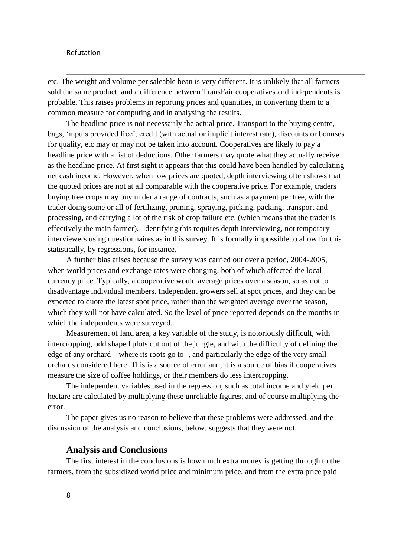etc. The weight and volume per saleable bean is very different. It is unlikely that all farmers sold the same product, and a difference between TransFair cooperatives and independents is probable. This raises problems in reporting prices and quantities, in converting them to a common measure for computing and in analysing the results.

The headline price is not necessarily the actual price. Transport to the buying centre, bags, "inputs provided free", credit (with actual or implicit interest rate), discounts or bonuses for quality, etc may or may not be taken into account. Cooperatives are likely to pay a headline price with a list of deductions. Other farmers may quote what they actually receive as the headline price. At first sight it appears that this could have been handled by calculating net cash income. However, when low prices are quoted, depth interviewing often shows that the quoted prices are not at all comparable with the cooperative price. For example, traders buying tree crops may buy under a range of contracts, such as a payment per tree, with the trader doing some or all of fertilizing, pruning, spraying, picking, packing, transport and processing, and carrying a lot of the risk of crop failure etc. (which means that the trader is effectively the main farmer). Identifying this requires depth interviewing, not temporary interviewers using questionnaires as in this survey. It is formally impossible to allow for this statistically, by regressions, for instance.

A further bias arises because the survey was carried out over a period, 2004-2005, when world prices and exchange rates were changing, both of which affected the local currency price. Typically, a cooperative would average prices over a season, so as not to disadvantage individual members. Independent growers sell at spot prices, and they can be expected to quote the latest spot price, rather than the weighted average over the season, which they will not have calculated. So the level of price reported depends on the months in which the independents were surveyed.

Measurement of land area, a key variable of the study, is notoriously difficult, with intercropping, odd shaped plots cut out of the jungle, and with the difficulty of defining the edge of any orchard – where its roots go to -, and particularly the edge of the very small orchards considered here. This is a source of error and, it is a source of bias if cooperatives measure the size of coffee holdings, or their members do less intercropping.

The independent variables used in the regression, such as total income and yield per hectare are calculated by multiplying these unreliable figures, and of course multiplying the error.

The paper gives us no reason to believe that these problems were addressed, and the discussion of the analysis and conclusions, below, suggests that they were not.

#### **Analysis and Conclusions**

The first interest in the conclusions is how much extra money is getting through to the farmers, from the subsidized world price and minimum price, and from the extra price paid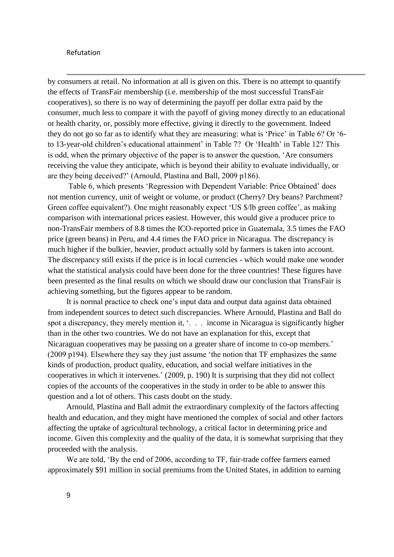by consumers at retail. No information at all is given on this. There is no attempt to quantify the effects of TransFair membership (i.e. membership of the most successful TransFair cooperatives), so there is no way of determining the payoff per dollar extra paid by the consumer, much less to compare it with the payoff of giving money directly to an educational or health charity, or, possibly more effective, giving it directly to the government. Indeed they do not go so far as to identify what they are measuring: what is 'Price' in Table 6? Or '6to 13-year-old children's educational attainment' in Table 7? Or 'Health' in Table 12? This is odd, when the primary objective of the paper is to answer the question, "Are consumers receiving the value they anticipate, which is beyond their ability to evaluate individually, or are they being deceived?" (Arnould, Plastina and Ball, 2009 p186).

Table 6, which presents "Regression with Dependent Variable: Price Obtained" does not mention currency, unit of weight or volume, or product (Cherry? Dry beans? Parchment? Green coffee equivalent?). One might reasonably expect 'US \$/lb green coffee', as making comparison with international prices easiest. However, this would give a producer price to non-TransFair members of 8.8 times the ICO-reported price in Guatemala, 3.5 times the FAO price (green beans) in Peru, and 4.4 times the FAO price in Nicaragua. The discrepancy is much higher if the bulkier, heavier, product actually sold by farmers is taken into account. The discrepancy still exists if the price is in local currencies - which would make one wonder what the statistical analysis could have been done for the three countries! These figures have been presented as the final results on which we should draw our conclusion that TransFair is achieving something, but the figures appear to be random.

It is normal practice to check one"s input data and output data against data obtained from independent sources to detect such discrepancies. Where Arnould, Plastina and Ball do spot a discrepancy, they merely mention it, '. . . income in Nicaragua is significantly higher than in the other two countries. We do not have an explanation for this, except that Nicaraguan cooperatives may be passing on a greater share of income to co-op members.' (2009 p194). Elsewhere they say they just assume "the notion that TF emphasizes the same kinds of production, product quality, education, and social welfare initiatives in the cooperatives in which it intervenes." (2009, p. 190) It is surprising that they did not collect copies of the accounts of the cooperatives in the study in order to be able to answer this question and a lot of others. This casts doubt on the study.

Arnould, Plastina and Ball admit the extraordinary complexity of the factors affecting health and education, and they might have mentioned the complex of social and other factors affecting the uptake of agricultural technology, a critical factor in determining price and income. Given this complexity and the quality of the data, it is somewhat surprising that they proceeded with the analysis.

We are told, "By the end of 2006, according to TF, fair-trade coffee farmers earned approximately \$91 million in social premiums from the United States, in addition to earning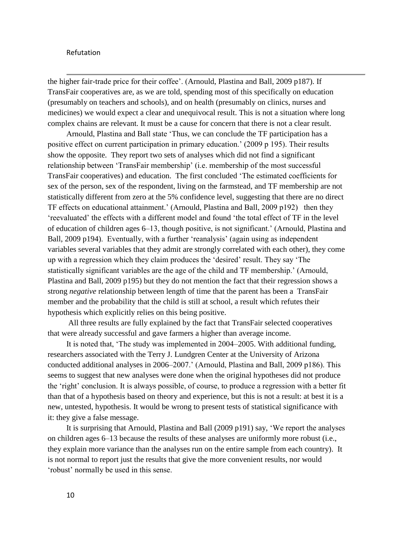the higher fair-trade price for their coffee". (Arnould, Plastina and Ball, 2009 p187). If TransFair cooperatives are, as we are told, spending most of this specifically on education (presumably on teachers and schools), and on health (presumably on clinics, nurses and medicines) we would expect a clear and unequivocal result. This is not a situation where long complex chains are relevant. It must be a cause for concern that there is not a clear result.

Arnould, Plastina and Ball state "Thus, we can conclude the TF participation has a positive effect on current participation in primary education." (2009 p 195). Their results show the opposite. They report two sets of analyses which did not find a significant relationship between "TransFair membership" (i.e. membership of the most successful TransFair cooperatives) and education. The first concluded "The estimated coefficients for sex of the person, sex of the respondent, living on the farmstead, and TF membership are not statistically different from zero at the 5% confidence level, suggesting that there are no direct TF effects on educational attainment." (Arnould, Plastina and Ball, 2009 p192) then they "reevaluated" the effects with a different model and found "the total effect of TF in the level of education of children ages 6–13, though positive, is not significant." (Arnould, Plastina and Ball, 2009 p194). Eventually, with a further 'reanalysis' (again using as independent variables several variables that they admit are strongly correlated with each other), they come up with a regression which they claim produces the "desired" result. They say "The statistically significant variables are the age of the child and TF membership." (Arnould, Plastina and Ball, 2009 p195) but they do not mention the fact that their regression shows a strong *negative* relationship between length of time that the parent has been a TransFair member and the probability that the child is still at school, a result which refutes their hypothesis which explicitly relies on this being positive.

All three results are fully explained by the fact that TransFair selected cooperatives that were already successful and gave farmers a higher than average income.

It is noted that, "The study was implemented in 2004–2005. With additional funding, researchers associated with the Terry J. Lundgren Center at the University of Arizona conducted additional analyses in 2006–2007." (Arnould, Plastina and Ball, 2009 p186). This seems to suggest that new analyses were done when the original hypotheses did not produce the "right" conclusion. It is always possible, of course, to produce a regression with a better fit than that of a hypothesis based on theory and experience, but this is not a result: at best it is a new, untested, hypothesis. It would be wrong to present tests of statistical significance with it: they give a false message.

It is surprising that Arnould, Plastina and Ball (2009 p191) say, "We report the analyses on children ages 6–13 because the results of these analyses are uniformly more robust (i.e., they explain more variance than the analyses run on the entire sample from each country). It is not normal to report just the results that give the more convenient results, nor would 'robust' normally be used in this sense.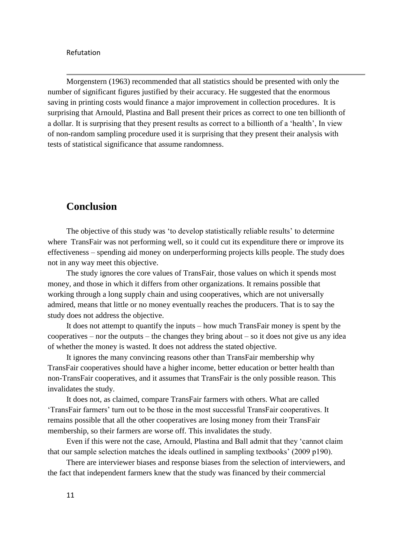Morgenstern (1963) recommended that all statistics should be presented with only the number of significant figures justified by their accuracy. He suggested that the enormous saving in printing costs would finance a major improvement in collection procedures. It is surprising that Arnould, Plastina and Ball present their prices as correct to one ten billionth of a dollar. It is surprising that they present results as correct to a billionth of a "health", In view of non-random sampling procedure used it is surprising that they present their analysis with tests of statistical significance that assume randomness.

## **Conclusion**

The objective of this study was "to develop statistically reliable results" to determine where TransFair was not performing well, so it could cut its expenditure there or improve its effectiveness – spending aid money on underperforming projects kills people. The study does not in any way meet this objective.

The study ignores the core values of TransFair, those values on which it spends most money, and those in which it differs from other organizations. It remains possible that working through a long supply chain and using cooperatives, which are not universally admired, means that little or no money eventually reaches the producers. That is to say the study does not address the objective.

It does not attempt to quantify the inputs – how much TransFair money is spent by the cooperatives – nor the outputs – the changes they bring about – so it does not give us any idea of whether the money is wasted. It does not address the stated objective.

It ignores the many convincing reasons other than TransFair membership why TransFair cooperatives should have a higher income, better education or better health than non-TransFair cooperatives, and it assumes that TransFair is the only possible reason. This invalidates the study.

It does not, as claimed, compare TransFair farmers with others. What are called "TransFair farmers" turn out to be those in the most successful TransFair cooperatives. It remains possible that all the other cooperatives are losing money from their TransFair membership, so their farmers are worse off. This invalidates the study.

Even if this were not the case, Arnould, Plastina and Ball admit that they "cannot claim that our sample selection matches the ideals outlined in sampling textbooks" (2009 p190).

There are interviewer biases and response biases from the selection of interviewers, and the fact that independent farmers knew that the study was financed by their commercial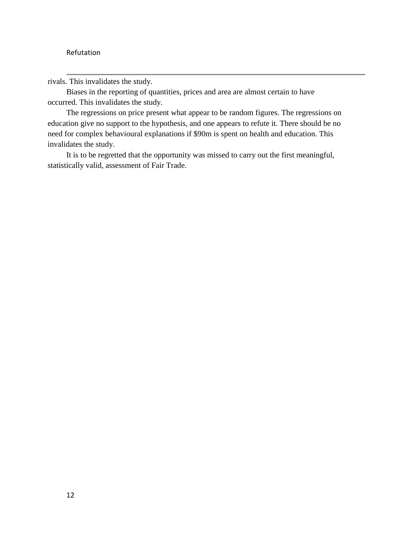rivals. This invalidates the study.

Biases in the reporting of quantities, prices and area are almost certain to have occurred. This invalidates the study.

The regressions on price present what appear to be random figures. The regressions on education give no support to the hypothesis, and one appears to refute it. There should be no need for complex behavioural explanations if \$90m is spent on health and education. This invalidates the study.

It is to be regretted that the opportunity was missed to carry out the first meaningful, statistically valid, assessment of Fair Trade.